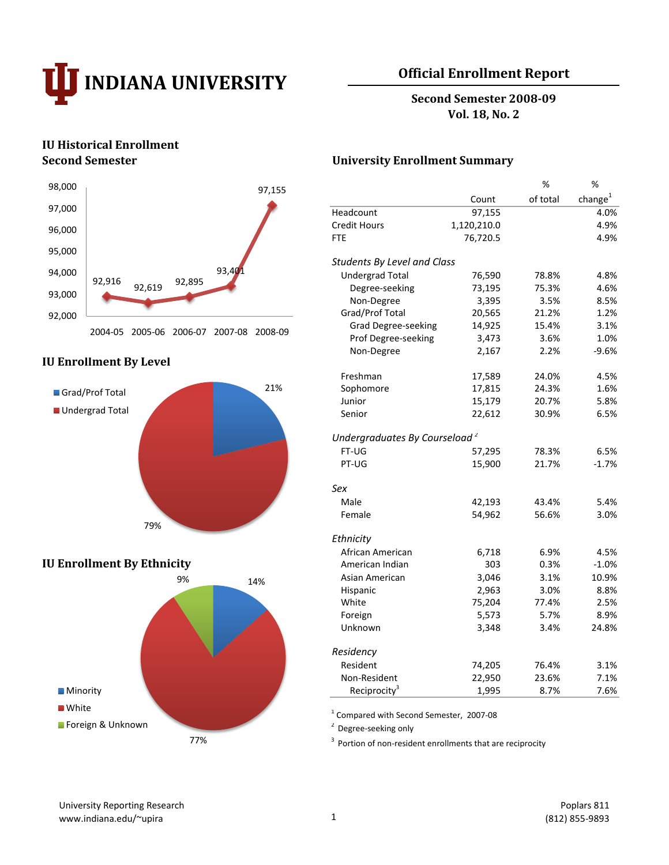

# **Official Enrollment Report**

**Second Semester 2008-09 Vol. 18, No. 2**

# **IU Historical Enrollment**



#### **IU Enrollment By Level**



## **IU Enrollment By Ethnicity**



### **Second Semester University Enrollment Summary**

|                                           |             | %        | %                   |
|-------------------------------------------|-------------|----------|---------------------|
|                                           | Count       | of total | change <sup>1</sup> |
| Headcount                                 | 97,155      |          | 4.0%                |
| <b>Credit Hours</b>                       | 1,120,210.0 |          | 4.9%                |
| <b>FTE</b>                                | 76,720.5    |          | 4.9%                |
| <b>Students By Level and Class</b>        |             |          |                     |
| <b>Undergrad Total</b>                    | 76,590      | 78.8%    | 4.8%                |
| Degree-seeking                            | 73,195      | 75.3%    | 4.6%                |
| Non-Degree                                | 3,395       | 3.5%     | 8.5%                |
| Grad/Prof Total                           | 20,565      | 21.2%    | 1.2%                |
| Grad Degree-seeking                       | 14,925      | 15.4%    | 3.1%                |
| Prof Degree-seeking                       | 3,473       | 3.6%     | 1.0%                |
| Non-Degree                                | 2,167       | 2.2%     | $-9.6%$             |
| Freshman                                  | 17,589      | 24.0%    | 4.5%                |
| Sophomore                                 | 17,815      | 24.3%    | 1.6%                |
| Junior                                    | 15,179      | 20.7%    | 5.8%                |
| Senior                                    | 22,612      | 30.9%    | 6.5%                |
| Undergraduates By Courseload <sup>2</sup> |             |          |                     |
| FT-UG                                     | 57,295      | 78.3%    | 6.5%                |
| PT-UG                                     | 15,900      | 21.7%    | $-1.7%$             |
| Sex                                       |             |          |                     |
| Male                                      | 42,193      | 43.4%    | 5.4%                |
| Female                                    | 54,962      | 56.6%    | 3.0%                |
| Ethnicity                                 |             |          |                     |
| African American                          | 6,718       | 6.9%     | 4.5%                |
| American Indian                           | 303         | 0.3%     | $-1.0%$             |
| Asian American                            | 3,046       | 3.1%     | 10.9%               |
| Hispanic                                  | 2,963       | 3.0%     | 8.8%                |
| White                                     | 75,204      | 77.4%    | 2.5%                |
| Foreign                                   | 5,573       | 5.7%     | 8.9%                |
| Unknown                                   | 3,348       | 3.4%     | 24.8%               |
| Residency                                 |             |          |                     |
| Resident                                  | 74,205      | 76.4%    | 3.1%                |
| Non-Resident                              | 22,950      | 23.6%    | 7.1%                |
| Reciprocity <sup>3</sup>                  | 1,995       | 8.7%     | 7.6%                |

1 Compared with Second Semester, 2007-08

 $2$  Degree-seeking only

 $3$  Portion of non-resident enrollments that are reciprocity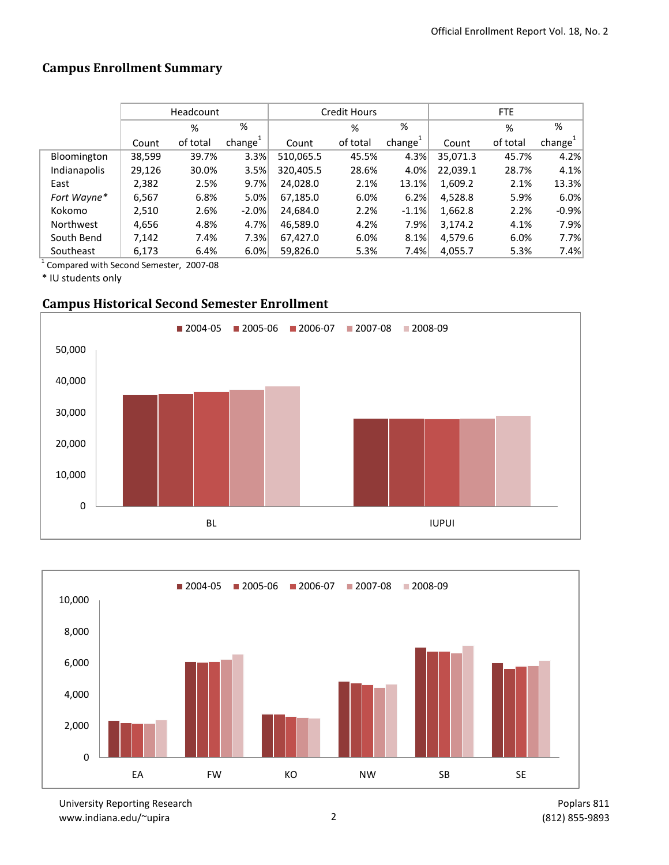# **Campus Enrollment Summary**

|                  |        | Headcount |                     |           | <b>Credit Hours</b> |                     | FTE      |          |           |  |
|------------------|--------|-----------|---------------------|-----------|---------------------|---------------------|----------|----------|-----------|--|
|                  |        | %         | %                   |           | %                   | %                   |          | %        | %         |  |
|                  | Count  | of total  | change <sup>+</sup> | Count     | of total            | change <sup>+</sup> | Count    | of total | $change+$ |  |
| Bloomington      | 38,599 | 39.7%     | 3.3%                | 510,065.5 | 45.5%               | 4.3%                | 35.071.3 | 45.7%    | 4.2%      |  |
| Indianapolis     | 29,126 | 30.0%     | 3.5%                | 320,405.5 | 28.6%               | 4.0%                | 22,039.1 | 28.7%    | 4.1%      |  |
| East             | 2,382  | 2.5%      | 9.7%                | 24,028.0  | 2.1%                | 13.1%               | 1,609.2  | 2.1%     | 13.3%     |  |
| Fort Wayne*      | 6,567  | 6.8%      | 5.0%                | 67,185.0  | 6.0%                | 6.2%                | 4,528.8  | 5.9%     | 6.0%      |  |
| Kokomo           | 2,510  | 2.6%      | $-2.0%$             | 24,684.0  | 2.2%                | $-1.1%$             | 1,662.8  | 2.2%     | $-0.9%$   |  |
| <b>Northwest</b> | 4,656  | 4.8%      | 4.7%                | 46.589.0  | 4.2%                | 7.9%                | 3,174.2  | 4.1%     | 7.9%      |  |
| South Bend       | 7,142  | 7.4%      | 7.3%                | 67,427.0  | 6.0%                | 8.1%                | 4,579.6  | 6.0%     | 7.7%      |  |
| Southeast        | 6,173  | 6.4%      | 6.0%                | 59,826.0  | 5.3%                | 7.4%                | 4,055.7  | 5.3%     | 7.4%      |  |

1 Compared with Second Semester, 2007-08

\* IU students only

# **Campus Historical Second Semester Enrollment**





University Reporting Research www.indiana.edu/~upira 2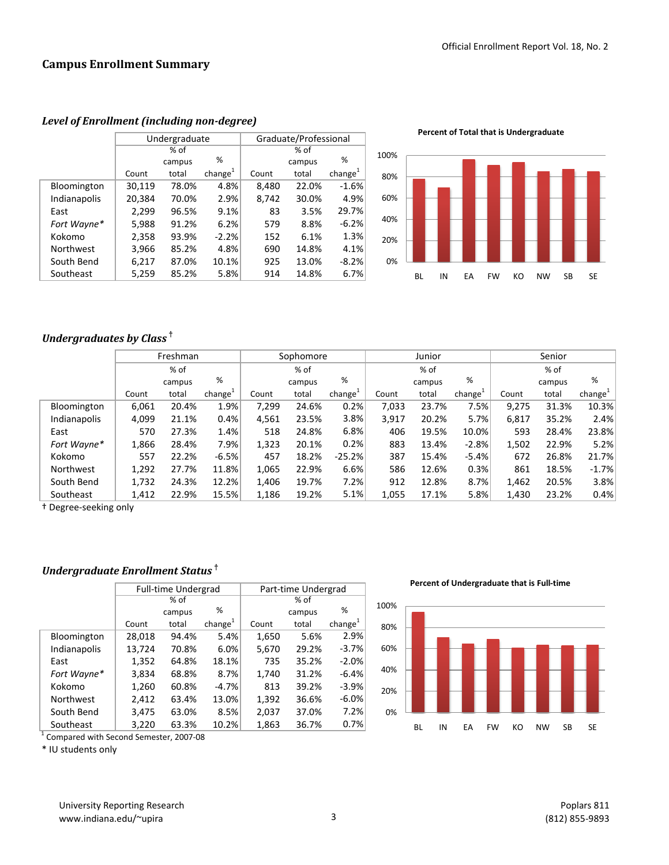|              | Graduate/Professional<br>Undergraduate |        |                     |       |        |                     |  |
|--------------|----------------------------------------|--------|---------------------|-------|--------|---------------------|--|
|              |                                        | $%$ of |                     |       |        |                     |  |
|              |                                        | campus | %                   |       | campus | %                   |  |
|              | Count                                  | total  | change <sup>1</sup> | Count | total  | change <sup>1</sup> |  |
| Bloomington  | 30,119                                 | 78.0%  | 4.8%                | 8,480 | 22.0%  | $-1.6%$             |  |
| Indianapolis | 20,384                                 | 70.0%  | 2.9%                | 8,742 | 30.0%  | 4.9%                |  |
| East         | 2,299                                  | 96.5%  | 9.1%                | 83    | 3.5%   | 29.7%               |  |
| Fort Wayne*  | 5,988                                  | 91.2%  | 6.2%                | 579   | 8.8%   | $-6.2%$             |  |
| Kokomo       | 2,358                                  | 93.9%  | $-2.2%$             | 152   | 6.1%   | 1.3%                |  |
| Northwest    | 3,966                                  | 85.2%  | 4.8%                | 690   | 14.8%  | 4.1%                |  |
| South Bend   | 6,217                                  | 87.0%  | 10.1%               | 925   | 13.0%  | $-8.2%$             |  |
| Southeast    | 5,259                                  | 85.2%  | 5.8%                | 914   | 14.8%  | 6.7%                |  |

#### *Level of Enrollment (including non-degree)*

**Percent of Total that is Undergraduate**

![](_page_2_Figure_5.jpeg)

# *Undergraduates by Class* **†**

|              | Freshman |        |                     |       | Sophomore |                     | Junior |        |                     | Senior |        |                     |
|--------------|----------|--------|---------------------|-------|-----------|---------------------|--------|--------|---------------------|--------|--------|---------------------|
|              |          | % of   |                     |       | % of      |                     |        | % of   |                     | % of   |        |                     |
|              |          | campus | %                   |       | campus    | %                   |        | campus | %                   |        | campus | %                   |
|              | Count    | total  | change <sup>+</sup> | Count | total     | change <sup>+</sup> | Count  | total  | change <sup>+</sup> | Count  | total  | change <sup>+</sup> |
| Bloomington  | 6,061    | 20.4%  | 1.9%                | 7,299 | 24.6%     | 0.2%                | 7,033  | 23.7%  | 7.5%                | 9,275  | 31.3%  | 10.3%               |
| Indianapolis | 4,099    | 21.1%  | 0.4%                | 4,561 | 23.5%     | 3.8%                | 3,917  | 20.2%  | 5.7%                | 6.817  | 35.2%  | 2.4%                |
| East         | 570      | 27.3%  | 1.4%                | 518   | 24.8%     | 6.8%                | 406    | 19.5%  | 10.0%               | 593    | 28.4%  | 23.8%               |
| Fort Wayne*  | 1,866    | 28.4%  | 7.9%                | 1,323 | 20.1%     | 0.2%                | 883    | 13.4%  | $-2.8%$             | 1,502  | 22.9%  | 5.2%                |
| Kokomo       | 557      | 22.2%  | $-6.5%$             | 457   | 18.2%     | $-25.2%$            | 387    | 15.4%  | $-5.4%$             | 672    | 26.8%  | 21.7%               |
| Northwest    | 1,292    | 27.7%  | 11.8%               | 1,065 | 22.9%     | 6.6%                | 586    | 12.6%  | 0.3%                | 861    | 18.5%  | $-1.7%$             |
| South Bend   | 1,732    | 24.3%  | 12.2%               | 1,406 | 19.7%     | 7.2%                | 912    | 12.8%  | 8.7%                | 1,462  | 20.5%  | 3.8%                |
| Southeast    | 1,412    | 22.9%  | 15.5%               | 1,186 | 19.2%     | 5.1%                | 1,055  | 17.1%  | 5.8%                | 1,430  | 23.2%  | 0.4%                |

† Degree-seeking only

# *Undergraduate Enrollment Status* **†**

|              |        | <b>Full-time Undergrad</b> |               | Part-time Undergrad |        |            |  |  |
|--------------|--------|----------------------------|---------------|---------------------|--------|------------|--|--|
|              |        | % of                       |               | % of                |        |            |  |  |
|              |        | campus                     | %             |                     | campus | %          |  |  |
|              | Count  | total                      | change $^{1}$ | Count               | total  | change $1$ |  |  |
| Bloomington  | 28,018 | 94.4%                      | 5.4%          | 1,650               | 5.6%   | 2.9%       |  |  |
| Indianapolis | 13,724 | 70.8%                      | 6.0%          | 5,670               | 29.2%  | $-3.7%$    |  |  |
| East         | 1,352  | 64.8%                      | 18.1%         | 735                 | 35.2%  | $-2.0%$    |  |  |
| Fort Wayne*  | 3,834  | 68.8%                      | 8.7%          | 1,740               | 31.2%  | $-6.4%$    |  |  |
| Kokomo       | 1,260  | 60.8%                      | $-4.7%$       | 813                 | 39.2%  | $-3.9%$    |  |  |
| Northwest    | 2,412  | 63.4%                      | 13.0%         | 1,392               | 36.6%  | $-6.0%$    |  |  |
| South Bend   | 3,475  | 63.0%                      | 8.5%          | 2,037               | 37.0%  | 7.2%       |  |  |
| Southeast    | 3,220  | 63.3%                      | 10.2%         | 1,863               | 36.7%  | 0.7%       |  |  |

<sup>1</sup> Compared with Second Semester, 2007-08

\* IU students only

**Percent of Undergraduate that is Full-time**

![](_page_2_Figure_14.jpeg)